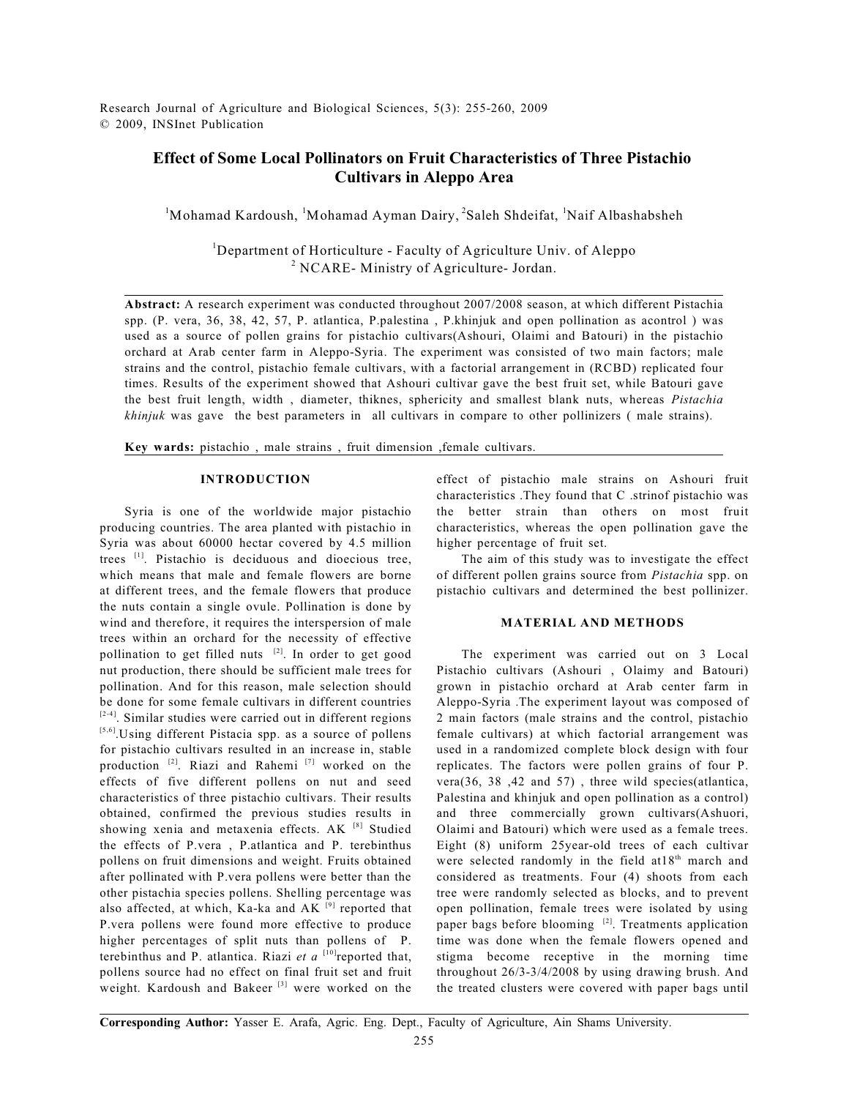Research Journal of Agriculture and Biological Sciences, 5(3): 255-260, 2009 © 2009, INSInet Publication

# **Effect of Some Local Pollinators on Fruit Characteristics of Three Pistachio Cultivars in Aleppo Area**

 $M<sup>1</sup>$ Mohamad Kardoush,  $M<sup>1</sup>$ Mohamad Ayman Dairy,  $2$ Saleh Shdeifat,  $M<sup>1</sup>$  Naif Albashabsheh

<sup>1</sup>Department of Horticulture - Faculty of Agriculture Univ. of Aleppo  $<sup>2</sup> NCARE-$  Ministry of Agriculture- Jordan.</sup>

**Abstract:** A research experiment was conducted throughout 2007/2008 season, at which different Pistachia spp. (P. vera, 36, 38, 42, 57, P. atlantica, P.palestina , P.khinjuk and open pollination as acontrol ) was used as a source of pollen grains for pistachio cultivars(Ashouri, Olaimi and Batouri) in the pistachio orchard at Arab center farm in Aleppo-Syria. The experiment was consisted of two main factors; male strains and the control, pistachio female cultivars, with a factorial arrangement in (RCBD) replicated four times. Results of the experiment showed that Ashouri cultivar gave the best fruit set, while Batouri gave the best fruit length, width , diameter, thiknes, sphericity and smallest blank nuts, whereas *Pistachia khinjuk* was gave the best parameters in all cultivars in compare to other pollinizers (male strains).

**Key wards:** pistachio , male strains , fruit dimension ,female cultivars.

#### **INTRODUCTION**

Syria is one of the worldwide major pistachio producing countries. The area planted with pistachio in Syria was about 60000 hectar covered by 4.5 million trees  $[1]$ . Pistachio is deciduous and dioecious tree, which means that male and female flowers are borne at different trees, and the female flowers that produce the nuts contain a single ovule. Pollination is done by wind and therefore, it requires the interspersion of male trees within an orchard for the necessity of effective pollination to get filled nuts  $[2]$ . In order to get good nut production, there should be sufficient male trees for pollination. And for this reason, male selection should be done for some female cultivars in different countries  $[2-4]$ . Similar studies were carried out in different regions [5,6] Using different Pistacia spp. as a source of pollens for pistachio cultivars resulted in an increase in, stable production  $^{[2]}$ . Riazi and Rahemi  $^{[7]}$  worked on the effects of five different pollens on nut and seed characteristics of three pistachio cultivars. Their results obtained, confirmed the previous studies results in showing xenia and metaxenia effects. AK [8] Studied the effects of P.vera , P.atlantica and P. terebinthus pollens on fruit dimensions and weight. Fruits obtained after pollinated with P.vera pollens were better than the other pistachia species pollens. Shelling percentage was also affected, at which, Ka-ka and AK  $[9]$  reported that P.vera pollens were found more effective to produce higher percentages of split nuts than pollens of P. terebinthus and P. atlantica. Riazi  $et\ a$ <sup>[10]</sup>reported that, pollens source had no effect on final fruit set and fruit weight. Kardoush and Bakeer  $[3]$  were worked on the

effect of pistachio male strains on Ashouri fruit characteristics .They found that C .strinof pistachio was the better strain than others on most fruit characteristics, whereas the open pollination gave the higher percentage of fruit set.

The aim of this study was to investigate the effect of different pollen grains source from *Pistachia* spp. on pistachio cultivars and determined the best pollinizer.

#### **MATERIAL AND METHODS**

The experiment was carried out on 3 Local Pistachio cultivars (Ashouri , Olaimy and Batouri) grown in pistachio orchard at Arab center farm in Aleppo-Syria .The experiment layout was composed of 2 main factors (male strains and the control, pistachio female cultivars) at which factorial arrangement was used in a randomized complete block design with four replicates. The factors were pollen grains of four P. vera(36, 38 ,42 and 57) , three wild species(atlantica, Palestina and khinjuk and open pollination as a control) and three commercially grown cultivars(Ashuori, Olaimi and Batouri) which were used as a female trees. Eight (8) uniform 25year-old trees of each cultivar were selected randomly in the field at  $18<sup>th</sup>$  march and considered as treatments. Four (4) shoots from each tree were randomly selected as blocks, and to prevent open pollination, female trees were isolated by using paper bags before blooming  $^{[2]}$ . Treatments application time was done when the female flowers opened and stigma become receptive in the morning time throughout 26/3-3/4/2008 by using drawing brush. And the treated clusters were covered with paper bags until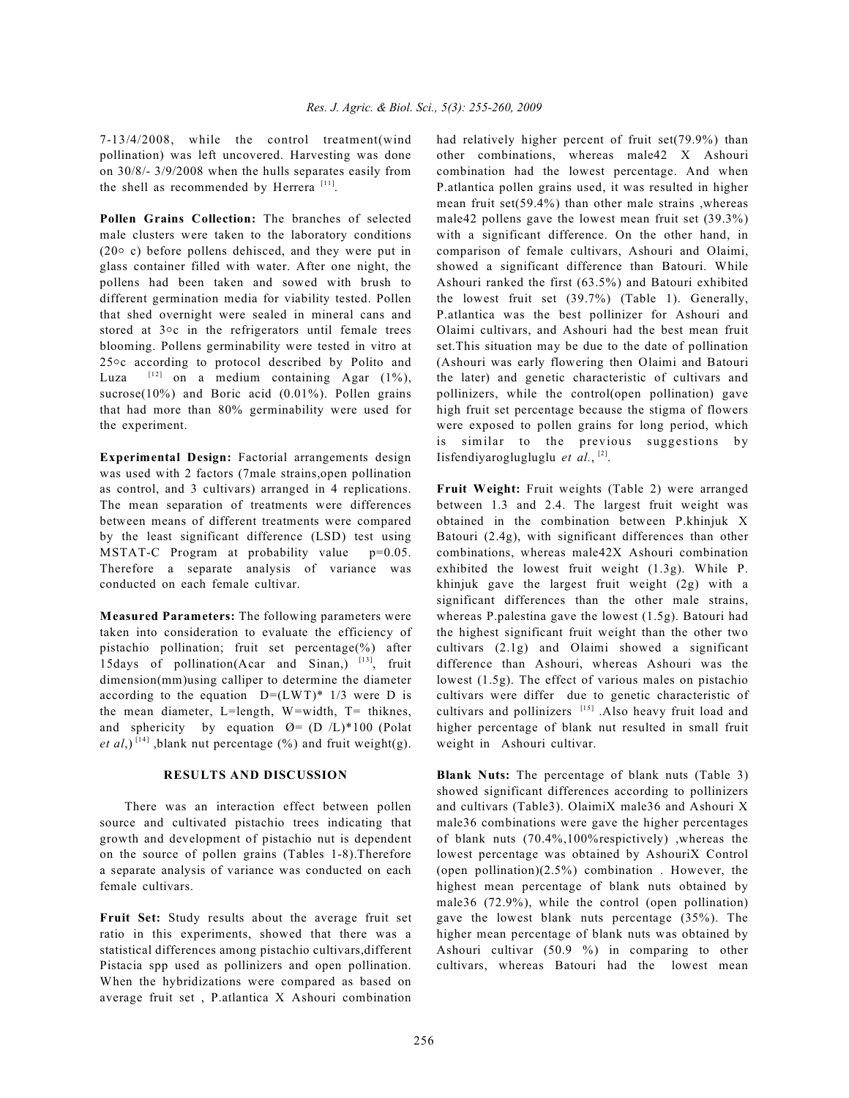7-13/4/2008, while the control treatment(wind pollination) was left uncovered. Harvesting was done on 30/8/- 3/9/2008 when the hulls separates easily from the shell as recommended by Herrera<sup>[11]</sup>.

**Pollen Grains Collection:** The branches of selected male clusters were taken to the laboratory conditions (20 $\circ$  c) before pollens dehisced, and they were put in glass container filled with water. After one night, the pollens had been taken and sowed with brush to different germination media for viability tested. Pollen that shed overnight were sealed in mineral cans and stored at  $3\circ c$  in the refrigerators until female trees blooming. Pollens germinability were tested in vitro at  $25\degree$ c according to protocol described by Polito and Luza  $[12]$  on a medium containing Agar  $(1\%)$ , sucrose(10%) and Boric acid (0.01%). Pollen grains that had more than 80% germinability were used for the experiment.

**Experimental Design:** Factorial arrangements design was used with 2 factors (7male strains,open pollination as control, and 3 cultivars) arranged in 4 replications. The mean separation of treatments were differences between means of different treatments were compared by the least significant difference (LSD) test using MSTAT-C Program at probability value p=0.05. Therefore a separate analysis of variance was conducted on each female cultivar.

**Measured Parameters:** The following parameters were taken into consideration to evaluate the efficiency of pistachio pollination; fruit set percentage(%) after 15days of pollination(Acar and Sinan,)  $[13]$ , fruit dimension(mm)using calliper to determine the diameter according to the equation  $D=(LWT)*1/3$  were D is the mean diameter, L=length, W=width, T= thiknes, and sphericity by equation  $\varnothing$  = (D /L)\*100 (Polat *et al*,)<sup>[14]</sup>, blank nut percentage (%) and fruit weight(g).

#### **RESULTS AND DISCUSSION**

There was an interaction effect between pollen source and cultivated pistachio trees indicating that growth and development of pistachio nut is dependent on the source of pollen grains (Tables 1-8).Therefore a separate analysis of variance was conducted on each female cultivars.

**Fruit Set:** Study results about the average fruit set ratio in this experiments, showed that there was a statistical differences among pistachio cultivars,different Pistacia spp used as pollinizers and open pollination. When the hybridizations were compared as based on average fruit set , P.atlantica X Ashouri combination had relatively higher percent of fruit set(79.9%) than other combinations, whereas male42 X Ashouri combination had the lowest percentage. And when P.atlantica pollen grains used, it was resulted in higher mean fruit set(59.4%) than other male strains ,whereas male42 pollens gave the lowest mean fruit set (39.3%) with a significant difference. On the other hand, in comparison of female cultivars, Ashouri and Olaimi, showed a significant difference than Batouri. While Ashouri ranked the first (63.5%) and Batouri exhibited the lowest fruit set (39.7%) (Table 1). Generally, P.atlantica was the best pollinizer for Ashouri and Olaimi cultivars, and Ashouri had the best mean fruit set.This situation may be due to the date of pollination (Ashouri was early flowering then Olaimi and Batouri the later) and genetic characteristic of cultivars and pollinizers, while the control(open pollination) gave high fruit set percentage because the stigma of flowers were exposed to pollen grains for long period, which is similar to the previous suggestions by Iisfendiyaroglugluglu et al., [2].

**Fruit Weight:** Fruit weights (Table 2) were arranged between 1.3 and 2.4. The largest fruit weight was obtained in the combination between P.khinjuk X Batouri (2.4g), with significant differences than other combinations, whereas male42X Ashouri combination exhibited the lowest fruit weight (1.3g). While P. khinjuk gave the largest fruit weight (2g) with a significant differences than the other male strains, whereas P.palestina gave the lowest (1.5g). Batouri had the highest significant fruit weight than the other two cultivars (2.1g) and Olaimi showed a significant difference than Ashouri, whereas Ashouri was the lowest (1.5g). The effect of various males on pistachio cultivars were differ due to genetic characteristic of cultivars and pollinizers  $[15]$ . Also heavy fruit load and higher percentage of blank nut resulted in small fruit weight in Ashouri cultivar.

**Blank Nuts:** The percentage of blank nuts (Table 3) showed significant differences according to pollinizers and cultivars (Table3). OlaimiX male36 and Ashouri X male36 combinations were gave the higher percentages of blank nuts (70.4%,100%respictively) ,whereas the lowest percentage was obtained by AshouriX Control (open pollination)(2.5%) combination . However, the highest mean percentage of blank nuts obtained by male36 (72.9%), while the control (open pollination) gave the lowest blank nuts percentage (35%). The higher mean percentage of blank nuts was obtained by Ashouri cultivar (50.9 %) in comparing to other cultivars, whereas Batouri had the lowest mean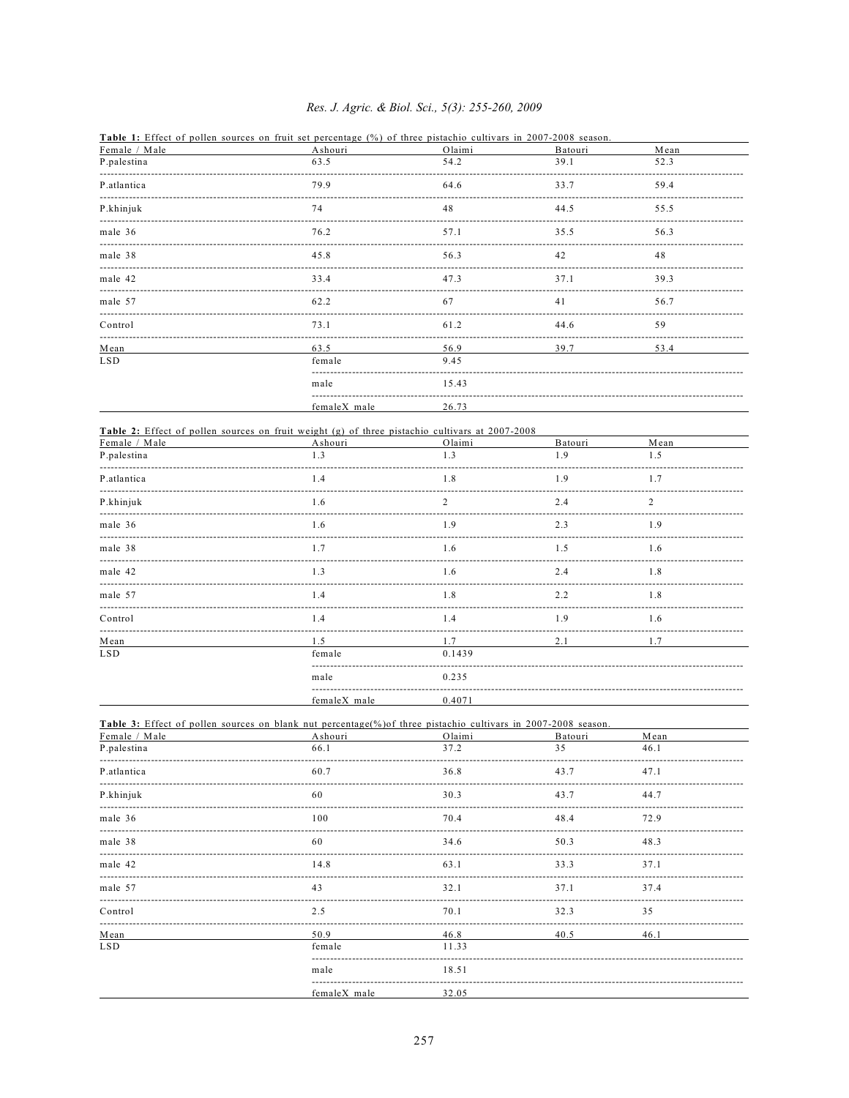## Res. J. Agric. & Biol. Sci., 5(3): 255-260, 2009

|               | <b>Table 1:</b> Effect of pollen sources on fruit set percentage (%) of three pistachio cultivars in 2007-2008 season. |        |         |      |  |
|---------------|------------------------------------------------------------------------------------------------------------------------|--------|---------|------|--|
| Female / Male | Ashouri                                                                                                                | Olaimi | Batouri | Mean |  |
| P.palestina   | 63.5                                                                                                                   | 54.2   | 39.1    | 52.3 |  |
| P.atlantica   | 79.9                                                                                                                   | 64.6   | 33.7    | 59.4 |  |
| P.khinjuk     | 74                                                                                                                     | 48     | 44.5    | 55.5 |  |
| male 36       | 76.2                                                                                                                   | 57.1   | 35.5    | 56.3 |  |
| male 38       | 45.8                                                                                                                   | 56.3   | 42      | 48   |  |
| male 42       | 33.4                                                                                                                   | 47.3   | 37.1    | 39.3 |  |
| male 57       | 62.2                                                                                                                   | 67     | 41      | 56.7 |  |
| Control       | 73.1                                                                                                                   | 61.2   | 44.6    | 59   |  |
| Mean          | 63.5                                                                                                                   | 56.9   | 39.7    | 53.4 |  |
| <b>LSD</b>    | female                                                                                                                 | 9.45   |         |      |  |
|               | male                                                                                                                   | 15.43  |         |      |  |
|               | femaleX male                                                                                                           | 26.73  |         |      |  |

|               | <b>Table 2:</b> Effect of pollen sources on fruit weight (g) of three pistachio cultivars at 2007-2008 |                |         |                |  |
|---------------|--------------------------------------------------------------------------------------------------------|----------------|---------|----------------|--|
| Female / Male | Ashouri                                                                                                | Olaimi         | Batouri | Mean           |  |
| P.palestina   | 1.3                                                                                                    | 1.3            | 1.9     | 1.5            |  |
| P.atlantica   | 1.4                                                                                                    | 1.8            | 1.9     | 1.7            |  |
| P.khinjuk     | 1.6                                                                                                    | $\overline{2}$ | 2.4     | $\overline{2}$ |  |
| male 36       | 1.6                                                                                                    | 1.9            | 2.3     | 1.9            |  |
| male 38       | 1.7                                                                                                    | 1.6            | 1.5     | 1.6            |  |
| male 42       | 1.3                                                                                                    | 1.6            | 2.4     | 1.8            |  |
| male 57       | 1.4                                                                                                    | 1.8            | 2.2     | 1.8            |  |
| Control       | 1.4                                                                                                    | 1.4            | 1.9     | 1.6            |  |
| Mean          | 1.5                                                                                                    | 1.7            | 2.1     | 1.7            |  |
| <b>LSD</b>    | female                                                                                                 | 0.1439         |         |                |  |
|               | male                                                                                                   | 0.235          |         |                |  |
|               | femaleX male                                                                                           | 0.4071         |         |                |  |

| Female / Male | <b>Table 3:</b> Effect of pollen sources on blank nut percentage(%) of three pistachio cultivars in $2007-2008$ season.<br>Ashouri | Olaimi | Batouri | Mean |  |
|---------------|------------------------------------------------------------------------------------------------------------------------------------|--------|---------|------|--|
| P.palestina   | 66.1                                                                                                                               | 37.2   | 35      | 46.1 |  |
| P.atlantica   | 60.7                                                                                                                               | 36.8   | 43.7    | 47.1 |  |
| P.khinjuk     | 60                                                                                                                                 | 30.3   | 43.7    | 44.7 |  |
| male 36       | 100                                                                                                                                | 70.4   | 48.4    | 72.9 |  |
| male 38       | -60                                                                                                                                | 34.6   | 50.3    | 48.3 |  |
| male 42       | 14.8                                                                                                                               | 63.1   | 33.3    | 37.1 |  |
| male 57       | 43                                                                                                                                 | 32.1   | 37.1    | 37.4 |  |
| Control       | 2.5                                                                                                                                | 70.1   | 32.3    | 35   |  |
| Mean          | 50.9                                                                                                                               | 46.8   | 40.5    | 46.1 |  |
| <b>LSD</b>    | female                                                                                                                             | 11.33  |         |      |  |
|               | male                                                                                                                               | 18.51  |         |      |  |
|               | femaleX male                                                                                                                       | 32.05  |         |      |  |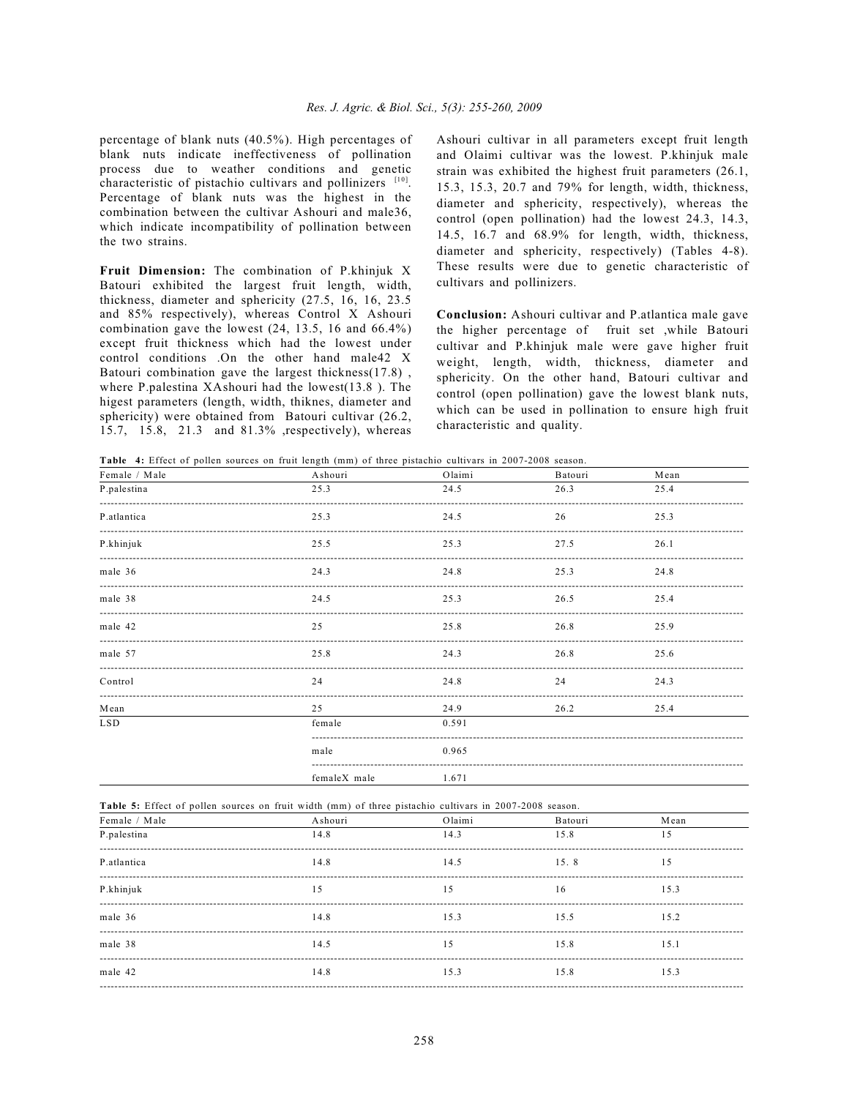percentage of blank nuts (40.5%). High percentages of blank nuts indicate ineffectiveness of pollination process due to weather conditions and genetic characteristic of pistachio cultivars and pollinizers [10]. Percentage of blank nuts was the highest in the combination between the cultivar Ashouri and male36, which indicate incompatibility of pollination between the two strains.

**Fruit Dimension:** The combination of P.khinjuk X Batouri exhibited the largest fruit length, width, thickness, diameter and sphericity (27.5, 16, 16, 23.5 and 85% respectively), whereas Control X Ashouri combination gave the lowest (24, 13.5, 16 and 66.4%) except fruit thickness which had the lowest under control conditions .On the other hand male42 X Batouri combination gave the largest thickness(17.8) , where P.palestina XAshouri had the lowest(13.8 ). The higest parameters (length, width, thiknes, diameter and sphericity) were obtained from Batouri cultivar (26.2, 15.7, 15.8, 21.3 and 81.3% ,respectively), whereas

Ashouri cultivar in all parameters except fruit length and Olaimi cultivar was the lowest. P.khinjuk male strain was exhibited the highest fruit parameters (26.1, 15.3, 15.3, 20.7 and 79% for length, width, thickness, diameter and sphericity, respectively), whereas the control (open pollination) had the lowest 24.3, 14.3, 14.5, 16.7 and 68.9% for length, width, thickness, diameter and sphericity, respectively) (Tables 4-8). These results were due to genetic characteristic of cultivars and pollinizers.

**Conclusion:** Ashouri cultivar and P.atlantica male gave the higher percentage of fruit set ,while Batouri cultivar and P.khinjuk male were gave higher fruit weight, length, width, thickness, diameter and sphericity. On the other hand, Batouri cultivar and control (open pollination) gave the lowest blank nuts, which can be used in pollination to ensure high fruit characteristic and quality.

**Table 4:** Effect of pollen sources on fruit length (mm) of three pistachio cultivars in 2007-2008 season.

| Female / Male | Ashouri      | Olaimi | Batouri | Mean |  |
|---------------|--------------|--------|---------|------|--|
| P.palestina   | 25.3         | 24.5   | 26.3    | 25.4 |  |
| P.atlantica   | 25.3         | 24.5   | 26      | 25.3 |  |
| P.khinjuk     | 25.5         | 25.3   | 27.5    | 26.1 |  |
| male 36       | 24.3         | 24.8   | 25.3    | 24.8 |  |
| male 38       | 24.5         | 25.3   | 26.5    | 25.4 |  |
| male 42       | 2.5          | 25.8   | 26.8    | 25.9 |  |
| male 57       | 25.8         | 24.3   | 26.8    | 25.6 |  |
| Control       | 24           | 24.8   | 24      | 24.3 |  |
| Mean          | 2.5          | 24.9   | 26.2    | 25.4 |  |
| <b>LSD</b>    | female       | 0.591  |         |      |  |
|               | male         | 0.965  |         |      |  |
|               | femaleX male | 1.671  |         |      |  |

|  |  |  |  |  |  |  |  |  |  |  |  | <b>Table 5:</b> Effect of pollen sources on fruit width (mm) of three pistachio cultivars in 2007-2008 season. |  |
|--|--|--|--|--|--|--|--|--|--|--|--|----------------------------------------------------------------------------------------------------------------|--|
|--|--|--|--|--|--|--|--|--|--|--|--|----------------------------------------------------------------------------------------------------------------|--|

| Ashouri | Olaimi | Batouri | Mean |
|---------|--------|---------|------|
| 14.8    | 14.3   | 15.8    | 15   |
| 14.8    | 14.5   | 15.8    | 15   |
| 15      | 15     | 16      | 15.3 |
| 14.8    | 15.3   | 15.5    | 15.2 |
| 14.5    | 15     | 15.8    | 15.1 |
| 14.8    | 15.3   | 15.8    | 15.3 |
|         |        |         |      |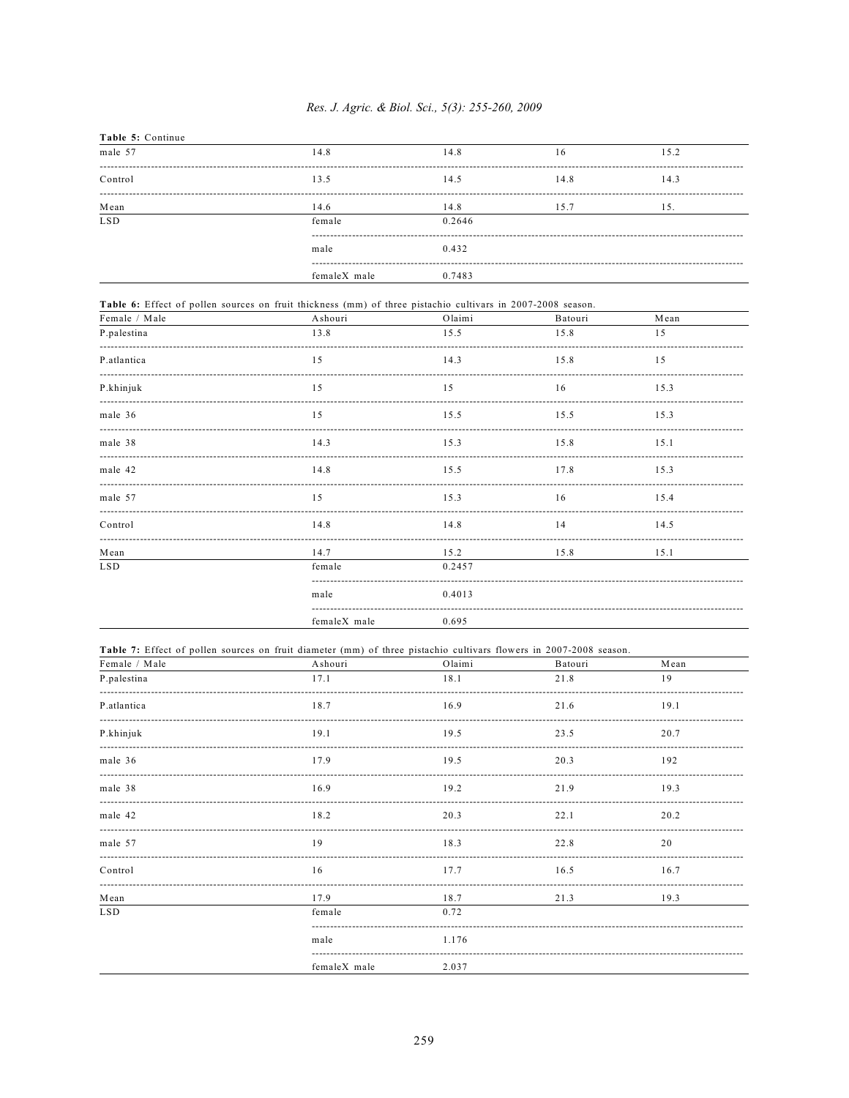| Table 5: Continue |              |        |      |      |
|-------------------|--------------|--------|------|------|
| male 57           | 14.8         | 14.8   | 16   | 15.2 |
| Control           | 13.5         | 14.5   | 14.8 | 14.3 |
| ${\bf Mean}$      | 14.6         | 14.8   | 15.7 | 15.  |
| <b>LSD</b>        | female       | 0.2646 |      |      |
|                   | male         | 0.432  |      |      |
|                   | femaleX male | 0.7483 |      |      |

| Female / Male | Ashouri      | Olaimi | Batouri | Mean |  |
|---------------|--------------|--------|---------|------|--|
| P.palestina   | 13.8         | 15.5   | 15.8    | 1.5  |  |
| P.atlantica   | 15           | 14.3   | 15.8    | 1.5  |  |
| P.khinjuk     | 15           | 15     | 16      | 15.3 |  |
| male 36       | 1.5          | 15.5   | 15.5    | 15.3 |  |
| male 38       | 14.3         | 15.3   | 15.8    | 15.1 |  |
| male 42       | 14.8         | 15.5   | 17.8    | 15.3 |  |
| male 57       | 1.5          | 15.3   | 16      | 15.4 |  |
| Control       | 14.8         | 14.8   | 14      | 14.5 |  |
| Mean          | 14.7         | 15.2   | 15.8    | 15.1 |  |
| <b>LSD</b>    | female       | 0.2457 |         |      |  |
|               | male         | 0.4013 |         |      |  |
|               | femaleX male | 0.695  |         |      |  |

|               | Table 7: Effect of pollen sources on fruit diameter (mm) of three pistachio cultivars flowers in 2007-2008 season. |        |         |      |  |
|---------------|--------------------------------------------------------------------------------------------------------------------|--------|---------|------|--|
| Female / Male | Ashouri                                                                                                            | Olaimi | Batouri | Mean |  |
| P.palestina   | 17.1                                                                                                               | 18.1   | 21.8    | 19   |  |
| P.atlantica   | 18.7                                                                                                               | 16.9   | 21.6    | 19.1 |  |
| P.khinjuk     | 19.1                                                                                                               | 19.5   | 23.5    | 20.7 |  |
| male 36       | 17.9                                                                                                               | 19.5   | 20.3    | 192  |  |
| male 38       | 16.9                                                                                                               | 19.2   | 21.9    | 19.3 |  |
| male 42       | 18.2                                                                                                               | 20.3   | 22.1    | 20.2 |  |
| male 57       | 19                                                                                                                 | 18.3   | 22.8    | 20   |  |
| Control       | 16                                                                                                                 | 17.7   | 16.5    | 16.7 |  |
| Mean          | 17.9                                                                                                               | 18.7   | 21.3    | 19.3 |  |
| <b>LSD</b>    | female                                                                                                             | 0.72   |         |      |  |
|               | male                                                                                                               | 1.176  |         |      |  |
|               | femaleX male                                                                                                       | 2.037  |         |      |  |